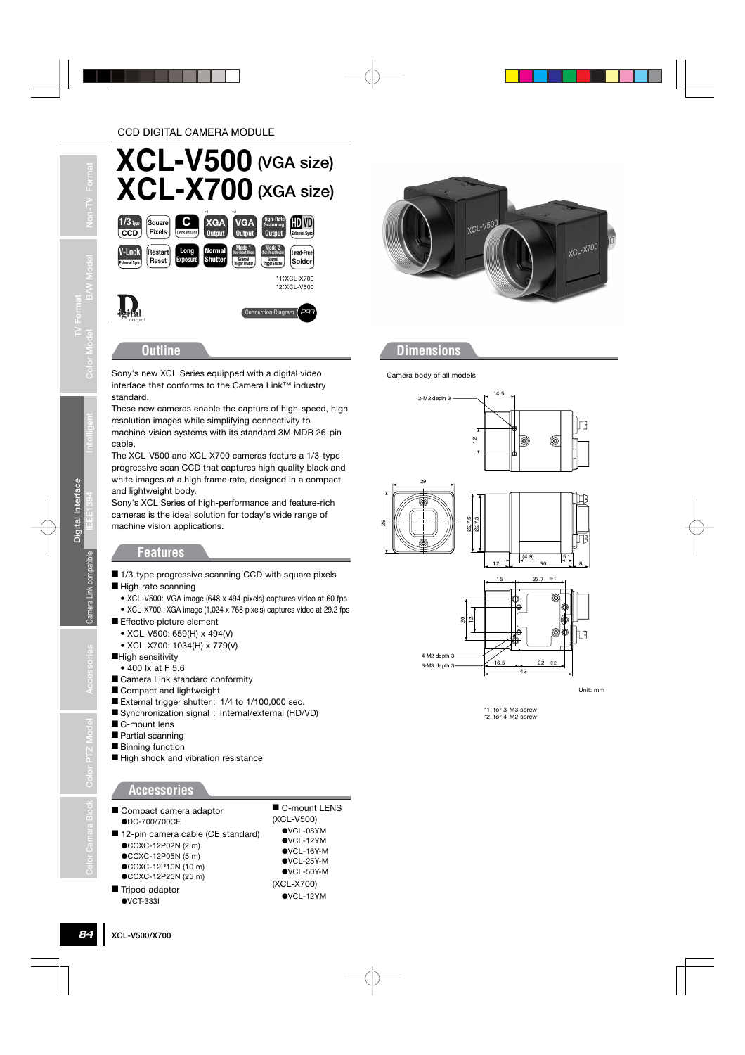## CCD DIGITAL CAMERA MODULE





## **Dimensions**

Camera body of all models



Unit: mm

\*1: for 3-M3 screw \*2: for 4-M2 screw

cable.

■ 1/3-type progressive scanning CCD with square pixels ■ High-rate scanning

**Features**

machine vision applications.

and lightweight body.

**Outline**

- XCL-V500: VGA image (648 x 494 pixels) captures video at 60 fps
- XCL-X700: XGA image (1,024 x 768 pixels) captures video at 29.2 fps

The XCL-V500 and XCL-X700 cameras feature a 1/3-type progressive scan CCD that captures high quality black and white images at a high frame rate, designed in a compact

Sony's XCL Series of high-performance and feature-rich cameras is the ideal solution for today's wide range of

- Effective picture element
	- XCL-V500: 659(H) x 494(V) • XCL-X700: 1034(H) x 779(V)
- ■High sensitivity
	- 400 lx at F 5.6
- Camera Link standard conformity
- Compact and lightweight
- External trigger shutter: 1/4 to 1/100,000 sec.
- Synchronization signal : Internal/external (HD/VD)
- C-mount lens
- Partial scanning
- Binning function
- High shock and vibration resistance

## **Accessories**

- Compact camera adaptor ●DC-700/700CE ■ 12-pin camera cable (CE standard) ●CCXC-12P02N (2 m) ●CCXC-12P05N (5 m) ●CCXC-12P10N (10 m) ■ C-mount LENS
	- ●CCXC-12P25N (25 m)
- Tripod adaptor ●VCT-333I

XCL-V500/X700

- (XCL-V500) ●VCL-08YM ●VCL-12YM ●VCL-16Y-M ●VCL-25Y-M ●VCL-50Y-M (XCL-X700)
	- ●VCL-12YM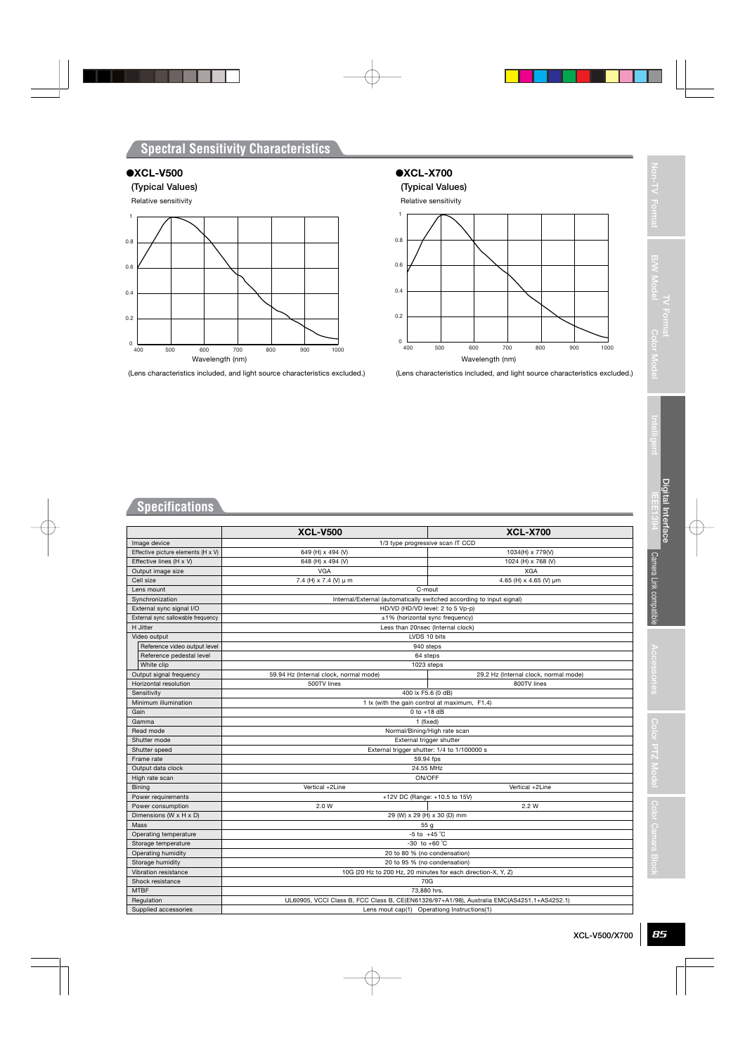## ●**XCL-V500**











# **Specifications**

| (Typical Values)<br>Relative sensitivity<br>1<br>0.8<br>0.6<br>0.4<br>0.2<br>$\mathsf{O}\xspace$<br>600<br>400<br>500<br>Wavelength (nm)                                                                                                                                                                                                                                                                                                                                                                                                                                                                                                                                                                                                        | -1<br>0.8<br>0.6<br>0.4<br>0.2<br>0<br>400<br>700<br>800<br>900<br>1000<br>(Lens characteristics included, and light source characteristics excluded.) | $\bullet$ XCL-X700<br>(Typical Values)<br>Relative sensitivity<br>700<br>500<br>600<br>800<br>900<br>1000<br>Wavelength (nm)<br>(Lens characteristics included, and light source characteristics excluded.) |
|-------------------------------------------------------------------------------------------------------------------------------------------------------------------------------------------------------------------------------------------------------------------------------------------------------------------------------------------------------------------------------------------------------------------------------------------------------------------------------------------------------------------------------------------------------------------------------------------------------------------------------------------------------------------------------------------------------------------------------------------------|--------------------------------------------------------------------------------------------------------------------------------------------------------|-------------------------------------------------------------------------------------------------------------------------------------------------------------------------------------------------------------|
| <b>Specifications</b>                                                                                                                                                                                                                                                                                                                                                                                                                                                                                                                                                                                                                                                                                                                           | <b>XCL-V500</b>                                                                                                                                        | <b>XCL-X700</b>                                                                                                                                                                                             |
|                                                                                                                                                                                                                                                                                                                                                                                                                                                                                                                                                                                                                                                                                                                                                 |                                                                                                                                                        |                                                                                                                                                                                                             |
|                                                                                                                                                                                                                                                                                                                                                                                                                                                                                                                                                                                                                                                                                                                                                 | 649 (H) x 494 (V)                                                                                                                                      | 1/3 type progressive scan IT CCD<br>1034(H) x 779(V)                                                                                                                                                        |
|                                                                                                                                                                                                                                                                                                                                                                                                                                                                                                                                                                                                                                                                                                                                                 | 648 (H) x 494 (V)                                                                                                                                      | 1024 (H) x 768 (V)                                                                                                                                                                                          |
|                                                                                                                                                                                                                                                                                                                                                                                                                                                                                                                                                                                                                                                                                                                                                 | VGA                                                                                                                                                    | <b>XGA</b>                                                                                                                                                                                                  |
|                                                                                                                                                                                                                                                                                                                                                                                                                                                                                                                                                                                                                                                                                                                                                 | 7.4 (H) x 7.4 (V) µ m                                                                                                                                  | 4.65 (H) x 4.65 (V) µm<br>C-mout                                                                                                                                                                            |
|                                                                                                                                                                                                                                                                                                                                                                                                                                                                                                                                                                                                                                                                                                                                                 |                                                                                                                                                        | Internal/External (automatically switched according to input signal)                                                                                                                                        |
|                                                                                                                                                                                                                                                                                                                                                                                                                                                                                                                                                                                                                                                                                                                                                 |                                                                                                                                                        | HD/VD (HD/VD level: 2 to 5 Vp-p)                                                                                                                                                                            |
|                                                                                                                                                                                                                                                                                                                                                                                                                                                                                                                                                                                                                                                                                                                                                 |                                                                                                                                                        | ±1% (horizontal sync frequency)                                                                                                                                                                             |
|                                                                                                                                                                                                                                                                                                                                                                                                                                                                                                                                                                                                                                                                                                                                                 |                                                                                                                                                        | Less than 20nsec (Internal clock)<br>LVDS 10 bits                                                                                                                                                           |
| Reference video output level                                                                                                                                                                                                                                                                                                                                                                                                                                                                                                                                                                                                                                                                                                                    |                                                                                                                                                        | 940 steps                                                                                                                                                                                                   |
| Reference pedestal level                                                                                                                                                                                                                                                                                                                                                                                                                                                                                                                                                                                                                                                                                                                        |                                                                                                                                                        | 64 steps                                                                                                                                                                                                    |
| White clip                                                                                                                                                                                                                                                                                                                                                                                                                                                                                                                                                                                                                                                                                                                                      | 59.94 Hz (Internal clock, normal mode)                                                                                                                 | 1023 steps<br>29.2 Hz (Internal clock, normal mode)                                                                                                                                                         |
|                                                                                                                                                                                                                                                                                                                                                                                                                                                                                                                                                                                                                                                                                                                                                 | 500TV lines                                                                                                                                            | 800TV lines                                                                                                                                                                                                 |
|                                                                                                                                                                                                                                                                                                                                                                                                                                                                                                                                                                                                                                                                                                                                                 |                                                                                                                                                        | 400 lx F5.6 (0 dB)                                                                                                                                                                                          |
|                                                                                                                                                                                                                                                                                                                                                                                                                                                                                                                                                                                                                                                                                                                                                 |                                                                                                                                                        | 1 lx (with the gain control at maximum, F1.4)                                                                                                                                                               |
|                                                                                                                                                                                                                                                                                                                                                                                                                                                                                                                                                                                                                                                                                                                                                 |                                                                                                                                                        | $0$ to $+18$ dB<br>1 (fixed)                                                                                                                                                                                |
|                                                                                                                                                                                                                                                                                                                                                                                                                                                                                                                                                                                                                                                                                                                                                 |                                                                                                                                                        | Normal/Bining/High rate scan                                                                                                                                                                                |
|                                                                                                                                                                                                                                                                                                                                                                                                                                                                                                                                                                                                                                                                                                                                                 |                                                                                                                                                        | External trigger shutter                                                                                                                                                                                    |
|                                                                                                                                                                                                                                                                                                                                                                                                                                                                                                                                                                                                                                                                                                                                                 |                                                                                                                                                        | External trigger shutter: 1/4 to 1/100000 s                                                                                                                                                                 |
|                                                                                                                                                                                                                                                                                                                                                                                                                                                                                                                                                                                                                                                                                                                                                 |                                                                                                                                                        | 59.94 fps<br>24.55 MHz                                                                                                                                                                                      |
|                                                                                                                                                                                                                                                                                                                                                                                                                                                                                                                                                                                                                                                                                                                                                 |                                                                                                                                                        | ON/OFF                                                                                                                                                                                                      |
|                                                                                                                                                                                                                                                                                                                                                                                                                                                                                                                                                                                                                                                                                                                                                 | Vertical +2Line                                                                                                                                        | Vertical +2Line                                                                                                                                                                                             |
|                                                                                                                                                                                                                                                                                                                                                                                                                                                                                                                                                                                                                                                                                                                                                 |                                                                                                                                                        | +12V DC (Range: +10.5 to 15V)                                                                                                                                                                               |
|                                                                                                                                                                                                                                                                                                                                                                                                                                                                                                                                                                                                                                                                                                                                                 | 2.0 W                                                                                                                                                  | 2.2 W<br>29 (W) x 29 (H) x 30 (D) mm                                                                                                                                                                        |
|                                                                                                                                                                                                                                                                                                                                                                                                                                                                                                                                                                                                                                                                                                                                                 |                                                                                                                                                        | 55 g                                                                                                                                                                                                        |
|                                                                                                                                                                                                                                                                                                                                                                                                                                                                                                                                                                                                                                                                                                                                                 |                                                                                                                                                        | $-5$ to $+45$ °C                                                                                                                                                                                            |
|                                                                                                                                                                                                                                                                                                                                                                                                                                                                                                                                                                                                                                                                                                                                                 |                                                                                                                                                        | $-30$ to $+60$ °C                                                                                                                                                                                           |
|                                                                                                                                                                                                                                                                                                                                                                                                                                                                                                                                                                                                                                                                                                                                                 |                                                                                                                                                        | 20 to 80 % (no condensation)                                                                                                                                                                                |
|                                                                                                                                                                                                                                                                                                                                                                                                                                                                                                                                                                                                                                                                                                                                                 |                                                                                                                                                        | 20 to 95 % (no condensation)                                                                                                                                                                                |
|                                                                                                                                                                                                                                                                                                                                                                                                                                                                                                                                                                                                                                                                                                                                                 |                                                                                                                                                        | 10G (20 Hz to 200 Hz, 20 minutes for each direction-X, Y, Z)<br>70G                                                                                                                                         |
|                                                                                                                                                                                                                                                                                                                                                                                                                                                                                                                                                                                                                                                                                                                                                 |                                                                                                                                                        | 73,880 hrs.                                                                                                                                                                                                 |
| Image device<br>Effective picture elements (H x V)<br>Effective lines (H x V)<br>Output image size<br>Cell size<br>Lens mount<br>Synchronization<br>External sync signal I/O<br>External sync sallowable frequency<br>H Jitter<br>Video output<br>Output signal frequency<br>Horizontal resolution<br>Sensitivity<br>Minimum illumination<br>Gain<br>Gamma<br>Read mode<br>Shutter mode<br>Shutter speed<br>Frame rate<br>Output data clock<br>High rate scan<br>Bining<br>Power requirements<br>Power consumption<br>Dimensions (W x H x D)<br>Mass<br>Operating temperature<br>Storage temperature<br>Operating humidity<br>Storage humidity<br>Vibration resistance<br>Shock resistance<br><b>MTBF</b><br>Regulation<br>Supplied accessories |                                                                                                                                                        | UL60905, VCCI Class B, FCC Class B, CE(EN61326/97+A1/98), Australia EMC(AS4251.1+AS4252.1)<br>Lens mout cap(1) Operationg Instructions(1)                                                                   |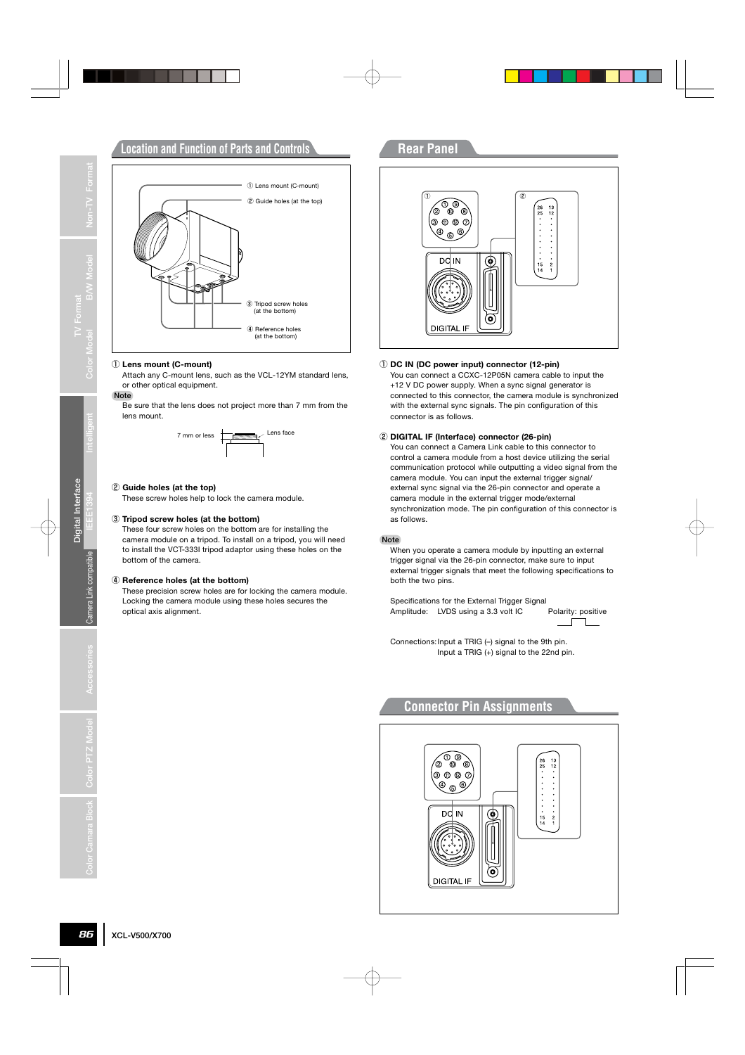# **Location and Function of Parts and Controls <b>Rear Panel**



#### ① **Lens mount (C-mount)**

Attach any C-mount lens, such as the VCL-12YM standard lens, or other optical equipment.

#### **Note**

Be sure that the lens does not project more than 7 mm from the lens mount.



#### ② **Guide holes (at the top)**

These screw holes help to lock the camera module.

#### ③ **Tripod screw holes (at the bottom)**

These four screw holes on the bottom are for installing the camera module on a tripod. To install on a tripod, you will need to install the VCT-333I tripod adaptor using these holes on the bottom of the camera.

#### ④ **Reference holes (at the bottom)**

These precision screw holes are for locking the camera module. Locking the camera module using these holes secures the optical axis alignment.



#### ① **DC IN (DC power input) connector (12-pin)**

You can connect a CCXC-12P05N camera cable to input the +12 V DC power supply. When a sync signal generator is connected to this connector, the camera module is synchronized with the external sync signals. The pin configuration of this connector is as follows.

#### ② **DIGITAL IF (Interface) connector (26-pin)**

You can connect a Camera Link cable to this connector to control a camera module from a host device utilizing the serial communication protocol while outputting a video signal from the camera module. You can input the external trigger signal/ external sync signal via the 26-pin connector and operate a camera module in the external trigger mode/external synchronization mode. The pin configuration of this connector is as follows.

#### **Note**

When you operate a camera module by inputting an external trigger signal via the 26-pin connector, make sure to input external trigger signals that meet the following specifications to both the two pins.

Specifications for the External Trigger Signal Amplitude: LVDS using a 3.3 volt IC Polarity: positive

 $\Box$ 

Connections:Input a TRIG (–) signal to the 9th pin. Input a TRIG (+) signal to the 22nd pin.

### **Connector Pin Assignments**